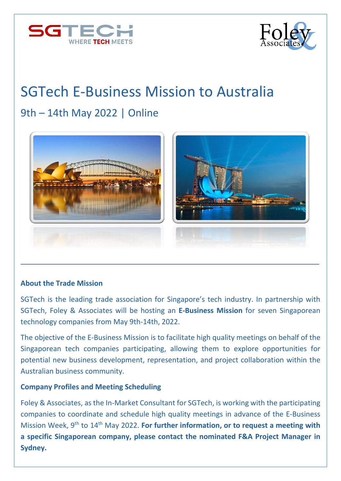



# SGTech E-Business Mission to Australia

# 9th – 14th May 2022 | Online



#### **About the Trade Mission**

SGTech is the leading trade association for Singapore's tech industry. In partnership with SGTech, Foley & Associates will be hosting an **E-Business Mission** for seven Singaporean technology companies from May 9th-14th, 2022.

The objective of the E-Business Mission is to facilitate high quality meetings on behalf of the Singaporean tech companies participating, allowing them to explore opportunities for potential new business development, representation, and project collaboration within the Australian business community.

#### **Company Profiles and Meeting Scheduling**

Foley & Associates, as the In-Market Consultant for SGTech, is working with the participating companies to coordinate and schedule high quality meetings in advance of the E-Business Mission Week, 9<sup>th</sup> to 14<sup>th</sup> May 2022. **For further information, or to request a meeting with a specific Singaporean company, please contact the nominated F&A Project Manager in Sydney.**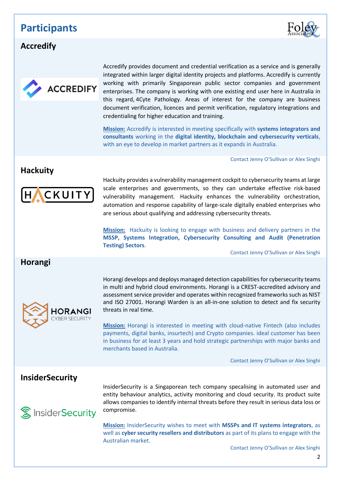### **Participants**



#### **[Accredify](https://accredify.io/)**



Accredify provides document and credential verification as a service and is generally integrated within larger digital identity projects and platforms. Accredify is currently working with primarily Singaporean public sector companies and government enterprises. The company is working with one existing end user here in Australia in this regard, 4Cyte [Pathology.](https://www.4cyte.com.au/) Areas of interest for the company are business document verification, licences and permit verification, regulatory integrations and credentialing for higher education and training.

**Mission:** Accredify is interested in meeting specifically with **systems integrators and consultants** working in the **digital identity, blockchain and cybersecurity verticals**, with an eye to develop in market partners as it expands in Australia.

Contact Jenny O'Sullivan or Alex Singhi

#### **[Hackuity](https://www.hackuity.io/)**



Hackuity provides a vulnerability management cockpit to cybersecurity teams at large scale enterprises and governments, so they can undertake effective risk-based vulnerability management. Hackuity enhances the vulnerability orchestration, automation and response capability of large-scale digitally enabled enterprises who are serious about qualifying and addressing cybersecurity threats.

**Mission:** Hackuity is looking to engage with business and delivery partners in the **MSSP, Systems Integration, Cybersecurity Consulting and Audit (Penetration Testing) Sectors**.

Contact Jenny O'Sullivan or Alex Singhi

#### **[Horangi](https://www.horangi.com/)**



Horangi develops and deploys managed detection capabilities for cybersecurity teams in multi and hybrid cloud environments. Horangi is a CREST-accredited advisory and assessment service provider and operates within recognized frameworks such as NIST and ISO 27001. Horangi Warden is an all-in-one solution to detect and fix security threats in real time.

**Mission:** Horangi is interested in meeting with cloud-native Fintech (also includes payments, digital banks, insurtech) and Crypto companies. ideal customer has been in business for at least 3 years and hold strategic partnerships with major banks and merchants based in Australia.

Contact Jenny O'Sullivan or Alex Singhi

#### **[InsiderS](https://insidersecurity.co/)ecurity**



InsiderSecurity is a Singaporean tech company specalising in automated user and entity behaviour analytics, activity monitoring and cloud security. Its product suite allows companies to identify internal threats before they result in serious data loss or compromise.

**Mission:** InsiderSecurity wishes to meet with **MSSPs and IT systems integrators**, as well as **cyber security resellers and distributors** as part of its plans to engage with the Australian market.

Contact Jenny O'Sullivan or Alex Singhi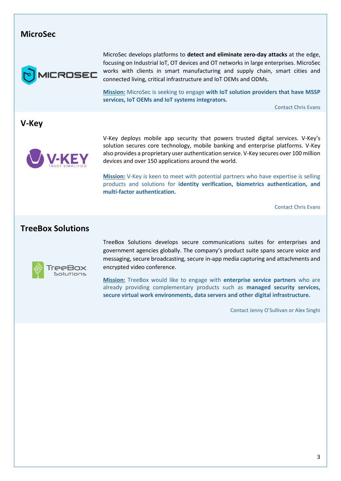#### **[MicroSec](https://www.usec.io/)**



MicroSec develops platforms to **detect and eliminate zero-day attacks** at the edge, focusing on Industrial IoT, OT devices and OT networks in large enterprises. MicroSec works with clients in smart manufacturing and supply chain, smart cities and connected living, critical infrastructure and IoT OEMs and ODMs.

**Mission:** MicroSec is seeking to engage **with IoT solution providers that have MSSP services, IoT OEMs and IoT systems integrators.**

Contact Chris Evans

#### **[V-Key](https://www.v-key.com/)**



V-Key deploys mobile app security that powers trusted digital services. V-Key's solution secures core technology, mobile banking and enterprise platforms. V-Key also provides a proprietary user authentication service. V-Key secures over 100 million devices and over 150 applications around the world.

**Mission:** V-Key is keen to meet with potential partners who have expertise is selling products and solutions for **identity verification, biometrics authentication, and multi-factor authentication.**

Contact Chris Evans

#### **[TreeBox Solutions](https://treeboxsolutions.com/)**



TreeBox Solutions develops secure communications suites for enterprises and government agencies globally. The company's product suite spans secure voice and messaging, secure broadcasting, secure in-app media capturing and attachments and encrypted video conference.

**Mission:** TreeBox would like to engage with **enterprise service partners** who are already providing complementary products such as **managed security services, secure virtual work environments, data servers and other digital infrastructure.**

Contact Jenny O'Sullivan or Alex Singhi